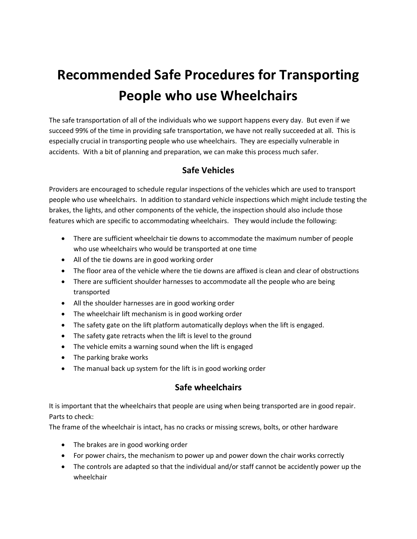# **Recommended Safe Procedures for Transporting People who use Wheelchairs**

The safe transportation of all of the individuals who we support happens every day. But even if we succeed 99% of the time in providing safe transportation, we have not really succeeded at all. This is especially crucial in transporting people who use wheelchairs. They are especially vulnerable in accidents. With a bit of planning and preparation, we can make this process much safer.

# **Safe Vehicles**

Providers are encouraged to schedule regular inspections of the vehicles which are used to transport people who use wheelchairs. In addition to standard vehicle inspections which might include testing the brakes, the lights, and other components of the vehicle, the inspection should also include those features which are specific to accommodating wheelchairs. They would include the following:

- There are sufficient wheelchair tie downs to accommodate the maximum number of people who use wheelchairs who would be transported at one time
- All of the tie downs are in good working order
- The floor area of the vehicle where the tie downs are affixed is clean and clear of obstructions
- There are sufficient shoulder harnesses to accommodate all the people who are being transported
- All the shoulder harnesses are in good working order
- The wheelchair lift mechanism is in good working order
- The safety gate on the lift platform automatically deploys when the lift is engaged.
- The safety gate retracts when the lift is level to the ground
- The vehicle emits a warning sound when the lift is engaged
- The parking brake works
- The manual back up system for the lift is in good working order

### **Safe wheelchairs**

It is important that the wheelchairs that people are using when being transported are in good repair. Parts to check:

The frame of the wheelchair is intact, has no cracks or missing screws, bolts, or other hardware

- The brakes are in good working order
- For power chairs, the mechanism to power up and power down the chair works correctly
- The controls are adapted so that the individual and/or staff cannot be accidently power up the wheelchair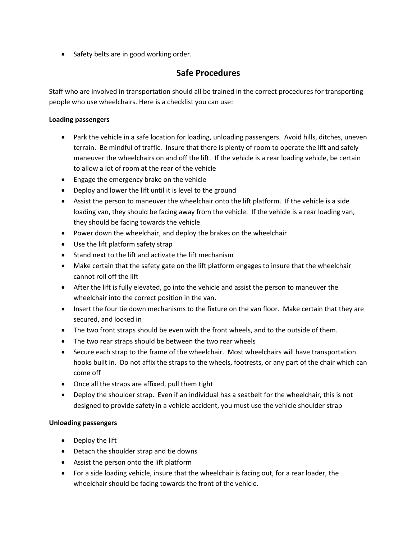• Safety belts are in good working order.

# **Safe Procedures**

Staff who are involved in transportation should all be trained in the correct procedures for transporting people who use wheelchairs. Here is a checklist you can use:

#### **Loading passengers**

- Park the vehicle in a safe location for loading, unloading passengers. Avoid hills, ditches, uneven terrain. Be mindful of traffic. Insure that there is plenty of room to operate the lift and safely maneuver the wheelchairs on and off the lift. If the vehicle is a rear loading vehicle, be certain to allow a lot of room at the rear of the vehicle
- Engage the emergency brake on the vehicle
- Deploy and lower the lift until it is level to the ground
- Assist the person to maneuver the wheelchair onto the lift platform. If the vehicle is a side loading van, they should be facing away from the vehicle. If the vehicle is a rear loading van, they should be facing towards the vehicle
- Power down the wheelchair, and deploy the brakes on the wheelchair
- Use the lift platform safety strap
- Stand next to the lift and activate the lift mechanism
- Make certain that the safety gate on the lift platform engages to insure that the wheelchair cannot roll off the lift
- After the lift is fully elevated, go into the vehicle and assist the person to maneuver the wheelchair into the correct position in the van.
- Insert the four tie down mechanisms to the fixture on the van floor. Make certain that they are secured, and locked in
- The two front straps should be even with the front wheels, and to the outside of them.
- The two rear straps should be between the two rear wheels
- Secure each strap to the frame of the wheelchair. Most wheelchairs will have transportation hooks built in. Do not affix the straps to the wheels, footrests, or any part of the chair which can come off
- Once all the straps are affixed, pull them tight
- Deploy the shoulder strap. Even if an individual has a seatbelt for the wheelchair, this is not designed to provide safety in a vehicle accident, you must use the vehicle shoulder strap

#### **Unloading passengers**

- Deploy the lift
- Detach the shoulder strap and tie downs
- Assist the person onto the lift platform
- For a side loading vehicle, insure that the wheelchair is facing out, for a rear loader, the wheelchair should be facing towards the front of the vehicle.